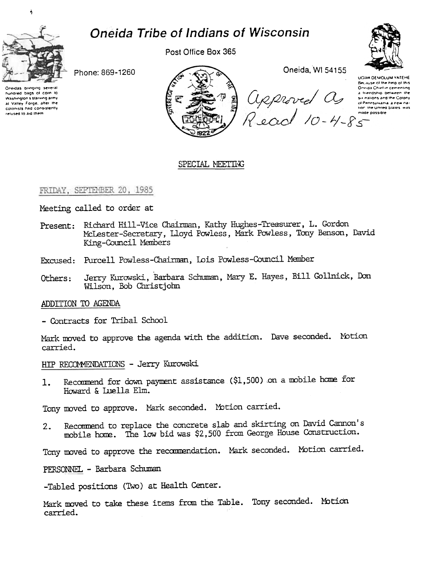

 $\frac{1}{2}$ 

# **Oneida Tribe of Indians of Wisconsin**

Post Office Box 365



Phone: 869-1260

Oneidas bringing several hundred bags of corn to Washington's starving army at Valley Forge, after the colonists had consistently relused to aid them.



## SPECIAL MEETING

## FRIDAY, SEPTEMBER 20, 1985

Meeting called to order at

- Present: Richard Hill-Vice Chairman, Kathy Hughes-Treasurer, L. Gordon McLester-Secretary, Lloyd Powless, Mark Powless, Tony Benson, David King-Council Members
- Excused: Purcell Powless-Chairman, Lois Powless-Council Member
- Jerry Kurowski, Barbara Schuman, Mary E. Hayes, Bill Gollnick, Don Others: Wilson, Bob Christjohn

## ADDITION TO AGENDA

- Contracts for Tribal School

Mark moved to approve the agenda with the addition. Dave seconded. Motion carried.

HIP RECOMMENDATIONS - Jerry Kurowski

Recommend for down payment assistance (\$1,500) on a mobile home for  $1.$ Howard & Luella Elm.

Tony moved to approve. Mark seconded. Motion carried.

Recommend to replace the concrete slab and skirting on David Cannon's  $2.$ mobile home. The low bid was \$2,500 from George House Construction.

Tony moved to approve the recommendation. Mark seconded. Motion carried.

PERSONNEL - Barbara Schuman

-Tabled positions (Two) at Health Center.

Mark moved to take these items from the Table. Tony seconded. Motion carried.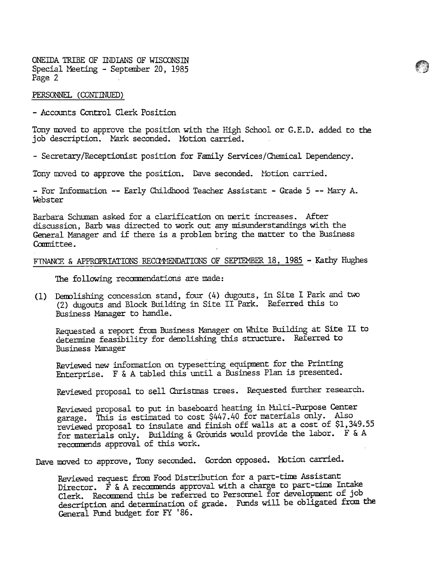ONEIDA TRIBE OF INDIANS OF WISCONSIN Special Meeting - September 20, 1985 Page 2

#### PERSONNEL (CONTINUED)

-Accounts Control Clerk Position

Tony moved to approve the position with the High School or G.E.D. added to the job description. Mark seconded. Motion carried.

~

- Secretary/Receptionist position for Family Services/Chemical Dependency.

Tony moved to approve the position. Dave seconded. Motion carried.

- For Information -- Early Childhood Teacher Assistant - Grade 5 -- Mary A. \.kbster

Barbara Schuman asked for a clarification on merit increases. After discussion, Barb was directed to work out any misunderstandings with the General Manager and if there is a problem bring the matter to the Business Committee.

# FINANCE & APPROPRIATIONS RECOMMENDATIONS OF SEPTEMBER 18, 1985 - Kathy Hughes

The following recamendations are made:

(1) Demolishing concession stand, four (4) dugouts, in Site I Park and two (2) dugouts and Block Building in Site II Park. Referred this to Business Manager to handle.

Requested a report from Business Manager on White Building at Site II to determine feasibility for demolishing this structure. Referred to Business Manager

Reviewed new information on typesetting equipment for the Printing Enterprise. F & A tabled this until a Busmess Plan is presented.

Reviewed proposal to sell Christmas trees. Requested further research.

Reviewed proposal to put in baseboard heating in Multi-Purpose Center garage. This is estimited to cost \$447.40 for materials only. Also reviewed proposal to insulate and finish off walls at a cost of \$1,349.55 for materials only. Building & Grounds would provide the labor. F & A recommends approval of this work.

Dave moved to approve, Tony seconded. Gordon opposed. Motion carried.

Reviewed request from Food Distribution for a part-time Assistant Director.  $\vec{F}$  & A recommends approval with a charge to part-time Intake Clerk. Recommend this be referred to Personnel for development of job description and determination of grade. Funds will be obligated from the General Fund budget for FY '86.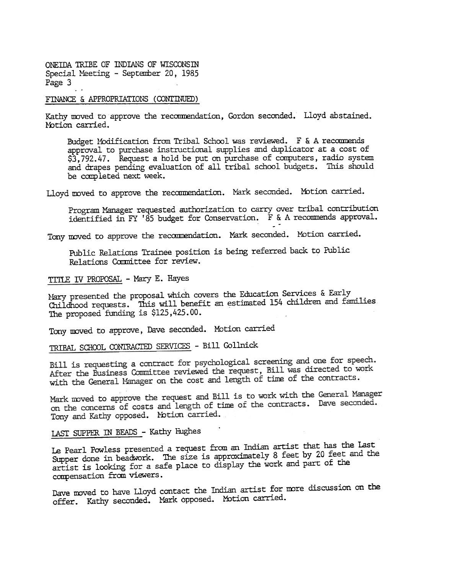ONEIDA TRIBE OF INDIANS OF WISCONSIN Special Meeting - September 20, 1985 Page 3 ..

#### FINANCE & APPROPRIATIONS (CONTINUED)

Kathy moved to approve the recommendation, Gordon seconded. Lloyd abstained Motion carried.

Budget Modification from Tribal School was reviewed. F & A recommends approval to purchase instructional supplies and duplicator at a cost of \$3,792.47. Request a hold be put on purchase of computers, radio system and drapes pending evaluation of all tribal school budgets. 'This should be completed next week.

Lloyd moved to approve the recommendation. Mark seconded. Motion carried.

Program Manager requested authorization to carry over tribal contribution identified in FY r 85 budget for Conservation. F & A recoomends approval. ب<br>-

Tony moved to approve the recommendation. Mark seconded. Motion carried.

Public Relations Trainee position is being referred back to Public Relations Committee for review.

TITLE IV PROPOSAL - Mary E. Hayes

Mary presented the proposal which covers the Education Services & Early Childhood requests. This will benefit an estimated 154 children and families, The proposed funding is \$125,425.00.

Tony moved to approve, Dave seconded. Motion carried

TRIBAL SCHOOL CONIRACTED SERVICES - Bill Gollnick

Bill is requesting a contract for psychological screening and one for speech. Bill is requesting a contract for psychological screening and the state of work<br>After the Business Committee reviewed the request, Bill was directed to work with the General Manager on the cost and length of time of the contracts.

Mark moved to approve the request and Bill is to work with the General Manager Mark moved to approve the request and birt is to work when the Tony and Kathy opposed. Motion carried.

LAST SUPPER IN BEADS - Kathy Hughes

Le Pearl Powless presented a request from an Indian artist that has the Last Supper done in beadwork. The size is approximately 8 feet by 20 feet and the artist is looking for a safe place to display the work and part of the compensation from viewers.

Dave moved to have Lloyd contact the Indian artist for more discussion on the offer. Kathy seconded. Mark opposed. Motion carried.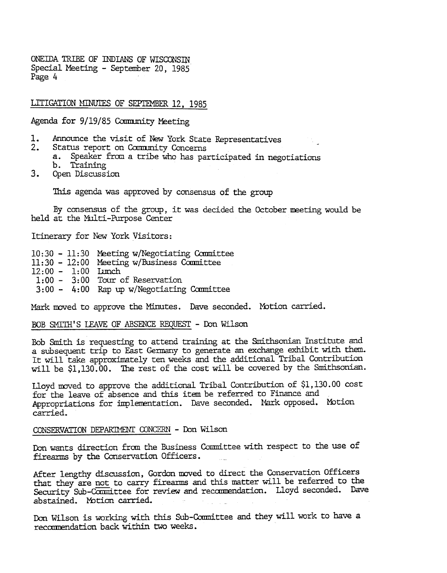ONEIDA TRIBE OF INDIANS OF WISCONSIN Special Meeting - September 20, 1985 Page 4

LITIGATION MINUTES OF SEPTEMBER 12, 1985

Agenda for 9/19/85 Community Meeting

- 1. Announce the visit of New York State Representatives<br>2. Status report on Community Concerns
- Status report on Community Concerns
	- a. Speaker from. a tribe who has participated in negotiations
- b. Training
- $3.$ Open Discussion

This agenda was approved by consensus of the group

By consensus of the group, it was decided the October meeting would be held at the Multi-Purpose Center

Itinerary for New York Visitors:

10:30 - 11:30 Meeting w/Negotiating Committee

- 11:30 12:00 Meeting w/Business Committe
- 12:00 1:00 Lunch
- $1:00 3:00$  Tour of Reservation
- 3:00 4:00 Rap up w/Negotiating Committee

Mark moved to approve the Minutes. Dave seconded. Motion carried.

BOB SMITH'S LEAVE OF ABSENCE REQUEST - Don Wilson

Bob Smith is requesting to attend training at the Smithsonian Institute and a subsequent trip to East Germany to generate an exchange exhibit with them. It will take approximately ten weeks and the additional Tribal Contribution will be \$1,130.00. The rest of the cost will be covered by the Smithsonian.

Lloyd moved to approve the additional Tribal Contribution of \$1,130.00 cost for the leave of absence and this item be referred to Finance and Appropriations for implementation. Dave seconded. Mark opposed. Motion carried.

## CONSERVATION DEPARTMENT CONCERN - Don Wilson

Don wants direction from the Business Committee with respect to the use of firearms by the Conservation Officers.

After lengthy discussion, Gordon moved to direct the Conservation Officers that they are not to carry firearms and this matter will be referred to the Security Sub-Camittee for review and recommendation. Lloyd seconded. Dave abstained. Motion carried.

Don Wilson is working with this Sub-Committee and they will work to have a recommendation back within two weeks.